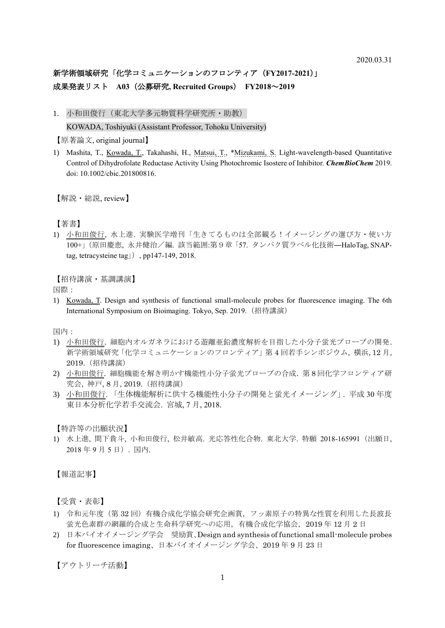## 新学術領域研究「化学コミュニケーションのフロンティア(**FY2017-2021**)」 成果発表リスト **A03**(公募研究**, Recruited Groups**) **FY2018**~**2019**

1. 小和田俊行(東北大学多元物質科学研究所・助教)

KOWADA, Toshiyuki (Assistant Professor, Tohoku University)

【原著論文, original journal】

1) Mashita, T., *Kowada, T., Takahashi, H., Matsui, T., \*Mizukami, S. Light-wavelength-based Quantitative* Control of Dihydrofolate Reductase Activity Using Photochromic Isostere of Inhibitor. *ChemBioChem* 2019. doi: 10.1002/cbic.201800816.

【解説・総説, review】

【著書】

1) 小和田俊行, 水上進. 実験医学増刊「生きてるものは全部観る!イメージングの選び方・使い方 100+」(原田慶恵, 永井健治/編. 該当範囲:第9章「57. タンパク質ラベル化技術―HaloTag, SNAPtag, tetracysteine tag」), pp147-149, 2018.

【招待講演·基調講演】

国際:

1) Kowada, T. Design and synthesis of functional small-molecule probes for fluorescence imaging. The 6th International Symposium on Bioimaging. Tokyo, Sep. 2019.(招待講演)

国内:

- 1) 小和田俊行. 細胞内オルガネラにおける遊離亜鉛濃度解析を目指した小分子蛍光プローブの開発. 新学術領域研究「化学コミュニケーションのフロンティア」第 4 回若手シンポジウム, 横浜, 12 月, 2019.(招待講演)
- 2) 小和田俊行. 細胞機能を解き明かす機能性小分子蛍光プローブの合成. 第 8 回化学フロンティア研 究会, 神戸, 8 月, 2019.(招待講演)
- 3) 小和田俊行. 「生体機能解析に供する機能性小分子の開発と蛍光イメージング」. 平成 30 年度 東日本分析化学若手交流会. 宮城, 7 月, 2018.

【特許等の出願状況】

1) 水上進, 間下貴斗, 小和田俊行, 松井敏高. 光応答性化合物. 東北大学. 特願 2018-165991(出願日, 2018 年 9 月 5 日). 国内.

【報道記事】

【受賞・表彰】

- 1) 令和元年度(第 32 回)有機合成化学協会研究企画賞,フッ素原子の特異な性質を利用した長波長 蛍光色素群の網羅的合成と生命科学研究への応用,有機合成化学協会,2019 年 12 月 2 日
- 2) 日本バイオイメージング学会 奨励賞、Design and synthesis of functional small-molecule probes for fluorescence imaging、日本バイオイメージング学会、2019 年 9 月 23 日

【アウトリーチ活動】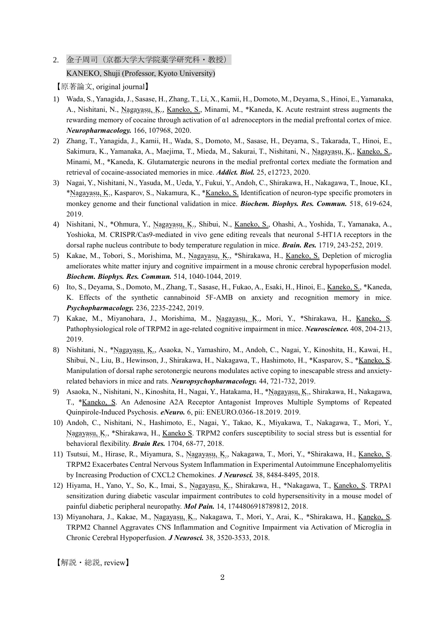2. 金子周司(京都大学大学院薬学研究科・教授)

## KANEKO, Shuji (Professor, Kyoto University)

【原著論文, original journal】

- 1) Wada, S., Yanagida, J., Sasase, H., Zhang, T., Li, X., Kamii, H., Domoto, M., Deyama, S., Hinoi, E., Yamanaka, A., Nishitani, N., Nagayasu, K., Kaneko, S., Minami, M., \*Kaneda, K. Acute restraint stress augments the rewarding memory of cocaine through activation of α1 adrenoceptors in the medial prefrontal cortex of mice. *Neuropharmacology.* 166, 107968, 2020.
- 2) Zhang, T., Yanagida, J., Kamii, H., Wada, S., Domoto, M., Sasase, H., Deyama, S., Takarada, T., Hinoi, E., Sakimura, K., Yamanaka, A., Maejima, T., Mieda, M., Sakurai, T., Nishitani, N., Nagayasu, K., Kaneko, S., Minami, M., \*Kaneda, K. Glutamatergic neurons in the medial prefrontal cortex mediate the formation and retrieval of cocaine-associated memories in mice. *Addict. Biol.* 25, e12723, 2020.
- 3) Nagai, Y., Nishitani, N., Yasuda, M., Ueda, Y., Fukui, Y., Andoh, C., Shirakawa, H., Nakagawa, T., Inoue, KI., \*Nagayasu, K., Kasparov, S., Nakamura, K., \*Kaneko, S. Identification of neuron-type specific promoters in monkey genome and their functional validation in mice. *Biochem. Biophys. Res. Commun.* 518, 619-624, 2019.
- 4) Nishitani, N., \*Ohmura, Y., Nagayasu, K., Shibui, N., Kaneko, S., Ohashi, A., Yoshida, T., Yamanaka, A., Yoshioka, M. CRISPR/Cas9-mediated in vivo gene editing reveals that neuronal 5-HT1A receptors in the dorsal raphe nucleus contribute to body temperature regulation in mice. *Brain. Res.* 1719, 243-252, 2019.
- 5) Kakae, M., Tobori, S., Morishima, M., Nagayasu, K., \*Shirakawa, H., *Kaneko, S.* Depletion of microglia ameliorates white matter injury and cognitive impairment in a mouse chronic cerebral hypoperfusion model. *Biochem. Biophys. Res. Commun.* 514, 1040-1044, 2019.
- 6) Ito, S., Deyama, S., Domoto, M., Zhang, T., Sasase, H., Fukao, A., Esaki, H., Hinoi, E., Kaneko, S., \*Kaneda, K. Effects of the synthetic cannabinoid 5F-AMB on anxiety and recognition memory in mice. *Psychopharmacology.* 236, 2235-2242, 2019.
- 7) Kakae, M., Miyanohara, J., Morishima, M., Nagayasu, K., Mori, Y., \*Shirakawa, H., Kaneko, S. Pathophysiological role of TRPM2 in age-related cognitive impairment in mice. *Neuroscience.* 408, 204-213, 2019.
- 8) Nishitani, N., \*Nagayasu, K., Asaoka, N., Yamashiro, M., Andoh, C., Nagai, Y., Kinoshita, H., Kawai, H., Shibui, N., Liu, B., Hewinson, J., Shirakawa, H., Nakagawa, T., Hashimoto, H., \*Kasparov, S., \*Kaneko, S. Manipulation of dorsal raphe serotonergic neurons modulates active coping to inescapable stress and anxietyrelated behaviors in mice and rats. *Neuropsychopharmacology.* 44, 721-732, 2019.
- 9) Asaoka, N., Nishitani, N., Kinoshita, H., Nagai, Y., Hatakama, H., \*Nagayasu, K., Shirakawa, H., Nakagawa, T., \*Kaneko, S. An Adenosine A2A Receptor Antagonist Improves Multiple Symptoms of Repeated Quinpirole-Induced Psychosis. *eNeuro.* 6, pii: ENEURO.0366-18.2019. 2019.
- 10) Andoh, C., Nishitani, N., Hashimoto, E., Nagai, Y., Takao, K., Miyakawa, T., Nakagawa, T., Mori, Y., Nagayasu, K., \*Shirakawa, H., Kaneko S. TRPM2 confers susceptibility to social stress but is essential for behavioral flexibility. *Brain Res.* 1704, 68-77, 2018.
- 11) Tsutsui, M., Hirase, R., Miyamura, S., Nagayasu, K., Nakagawa, T., Mori, Y., \*Shirakawa, H., Kaneko, S. TRPM2 Exacerbates Central Nervous System Inflammation in Experimental Autoimmune Encephalomyelitis by Increasing Production of CXCL2 Chemokines. *J Neurosci.* 38, 8484-8495, 2018.
- 12) Hiyama, H., Yano, Y., So, K., Imai, S., Nagayasu, K., Shirakawa, H., \*Nakagawa, T., Kaneko, S. TRPA1 sensitization during diabetic vascular impairment contributes to cold hypersensitivity in a mouse model of painful diabetic peripheral neuropathy. *Mol Pain.* 14, 1744806918789812, 2018.
- 13) Miyanohara, J., Kakae, M., Nagayasu, K., Nakagawa, T., Mori, Y., Arai, K., \*Shirakawa, H., Kaneko, S. TRPM2 Channel Aggravates CNS Inflammation and Cognitive Impairment via Activation of Microglia in Chronic Cerebral Hypoperfusion. *J Neurosci.* 38, 3520-3533, 2018.

【解説・総説, review】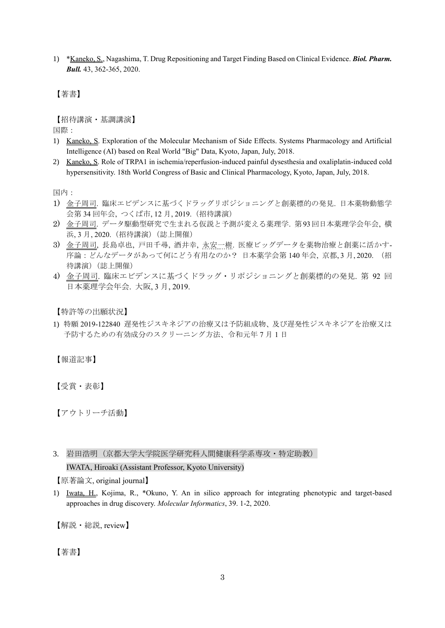1) \*Kaneko, S., Nagashima, T. Drug Repositioning and Target Finding Based on Clinical Evidence. *Biol. Pharm. Bull.* 43, 362-365, 2020.

【著書】

【招待講演・基調講演】

国際:

- 1) Kaneko, S. Exploration of the Molecular Mechanism of Side Effects. Systems Pharmacology and Artificial Intelligence (AI) based on Real World "Big" Data, Kyoto, Japan, July, 2018.
- 2) Kaneko, S. Role of TRPA1 in ischemia/reperfusion-induced painful dysesthesia and oxaliplatin-induced cold hypersensitivity. 18th World Congress of Basic and Clinical Pharmacology, Kyoto, Japan, July, 2018.

国内:

- 1) 金子周司. 臨床エビデンスに基づくドラッグリポジショニングと創薬標的の発見. 日本薬物動態学 会第 34 回年会, つくば市, 12 月, 2019.(招待講演)
- 2) 金子周司. データ駆動型研究で生まれる仮説と予測が変える薬理学. 第93回日本薬理学会年会, 横 浜, 3 月, 2020.(招待講演)(誌上開催)
- 3) 金子周司, 長島卓也, 戸田千尋, 酒井幸, 永安一樹. 医療ビッグデータを薬物治療と創薬に活かす-序論:どんなデータがあって何にどう有用なのか? 日本薬学会第 140 年会, 京都, 3 月, 2020. (招 待講演)(誌上開催)
- 4) 金子周司. 臨床エビデンスに基づくドラッグ・リポジショニングと創薬標的の発見. 第 92 回 日本薬理学会年会. 大阪, 3 月, 2019.

【特許等の出願状況】

1) 特願 2019-122840 遅発性ジスキネジアの治療又は予防組成物、及び遅発性ジスキネジアを治療又は 予防するための有効成分のスクリーニング方法、令和元年 7 月 1 日

【報道記事】

【受賞・表彰】

【アウトリーチ活動】

3. 岩田浩明(京都大学大学院医学研究科人間健康科学系専攻・特定助教) IWATA, Hiroaki (Assistant Professor, Kyoto University)

【原著論文, original journal】

1) Iwata, H., Kojima, R., \*Okuno, Y. An in silico approach for integrating phenotypic and target-based approaches in drug discovery. *Molecular Informatics*, 39. 1-2, 2020.

【解説・総説, review】

【著書】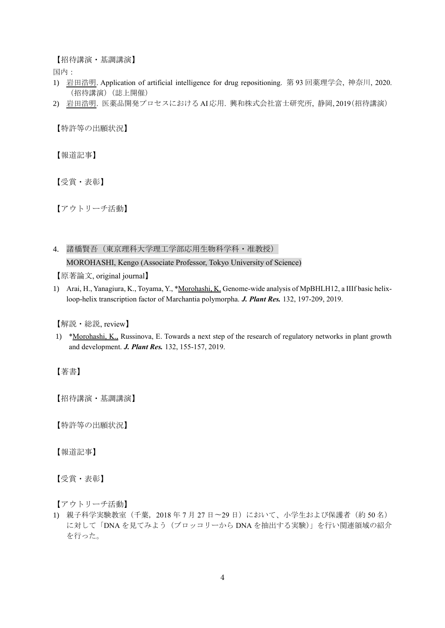【招待講演・基調講演】

国内:

- 1) 岩田浩明. Application of artificial intelligence for drug repositioning. 第 93 回薬理学会, 神奈川, 2020. (招待講演)(誌上開催)
- 2) 岩田浩明. 医薬品開発プロセスにおける AI応用. 興和株式会社富士研究所, 静岡, 2019(招待講演)

【特許等の出願状況】

【報道記事】

【受賞・表彰】

【アウトリーチ活動】

4. 諸橋賢吾(東京理科大学理工学部応用生物科学科・准教授) MOROHASHI, Kengo (Associate Professor, Tokyo University of Science)

【原著論文, original journal】

1) Arai, H., Yanagiura, K., Toyama, Y., \*Morohashi, K. Genome-wide analysis of MpBHLH12, a IIIf basic helixloop-helix transcription factor of Marchantia polymorpha. *J. Plant Res.* 132, 197-209, 2019.

【解説・総説, review】

1) \*Morohashi, K., Russinova, E. Towards a next step of the research of regulatory networks in plant growth and development. *J. Plant Res.* 132, 155-157, 2019.

【著書】

【招待講演・基調講演】

【特許等の出願状況】

【報道記事】

【受賞・表彰】

【アウトリーチ活動】

1) 親子科学実験教室(千葉,2018 年 7 月 27 日〜29 日)において、小学生および保護者(約 50 名) に対して「DNA を見てみよう(ブロッコリーから DNA を抽出する実験)」を行い関連領域の紹介 を行った。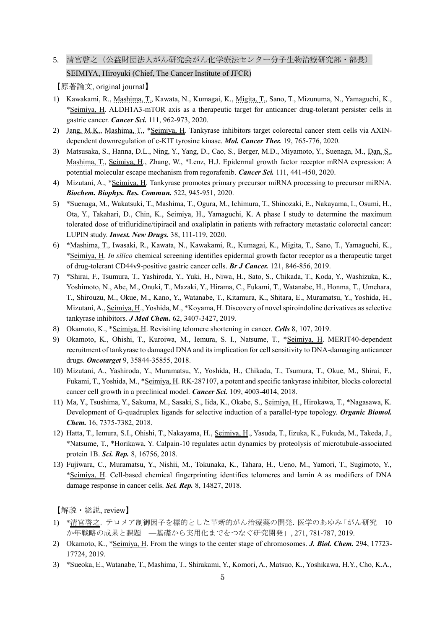5. 清宮啓之(公益財団法人がん研究会がん化学療法センター分子生物治療研究部・部長) SEIMIYA, Hiroyuki (Chief, The Cancer Institute of JFCR)

【原著論文, original journal】

- 1) Kawakami, R., Mashima, T., Kawata, N., Kumagai, K., Migita, T., Sano, T., Mizunuma, N., Yamaguchi, K., \*Seimiya, H. ALDH1A3-mTOR axis as a therapeutic target for anticancer drug-tolerant persister cells in gastric cancer. *Cancer Sci.* 111, 962-973, 2020.
- 2) Jang, M.K., Mashima, T., \*Seimiya, H. Tankyrase inhibitors target colorectal cancer stem cells via AXINdependent downregulation of c-KIT tyrosine kinase. *Mol. Cancer Ther.* 19, 765-776, 2020.
- 3) Matsusaka, S., Hanna, D.L., Ning, Y., Yang, D., Cao, S., Berger, M.D., Miyamoto, Y., Suenaga, M., Dan, S., Mashima, T., Seimiya, H., Zhang, W., \*Lenz, H.J. Epidermal growth factor receptor mRNA expression: A potential molecular escape mechanism from regorafenib. *Cancer Sci.* 111, 441-450, 2020.
- 4) Mizutani, A., \*Seimiya, H. Tankyrase promotes primary precursor miRNA processing to precursor miRNA. *Biochem. Biophys. Res. Commun.* 522, 945-951, 2020.
- 5) \*Suenaga, M., Wakatsuki, T., Mashima, T., Ogura, M., Ichimura, T., Shinozaki, E., Nakayama, I., Osumi, H., Ota, Y., Takahari, D., Chin, K., Seimiya, H., Yamaguchi, K. A phase I study to determine the maximum tolerated dose of trifluridine/tipiracil and oxaliplatin in patients with refractory metastatic colorectal cancer: LUPIN study. *Invest. New Drugs.* 38, 111-119, 2020.
- 6) \*Mashima, T., Iwasaki, R., Kawata, N., Kawakami, R., Kumagai, K., Migita, T., Sano, T., Yamaguchi, K., \*Seimiya, H. *In silico* chemical screening identifies epidermal growth factor receptor as a therapeutic target of drug-tolerant CD44v9-positive gastric cancer cells. *Br J Cancer.* 121, 846-856, 2019.
- 7) \*Shirai, F., Tsumura, T., Yashiroda, Y., Yuki, H., Niwa, H., Sato, S., Chikada, T., Koda, Y., Washizuka, K., Yoshimoto, N., Abe, M., Onuki, T., Mazaki, Y., Hirama, C., Fukami, T., Watanabe, H., Honma, T., Umehara, T., Shirouzu, M., Okue, M., Kano, Y., Watanabe, T., Kitamura, K., Shitara, E., Muramatsu, Y., Yoshida, H., Mizutani, A., Seimiya, H., Yoshida, M., \*Koyama, H. Discovery of novel spiroindoline derivatives as selective tankyrase inhibitors. *J Med Chem.* 62, 3407-3427, 2019.
- 8) Okamoto, K., \*Seimiya, H. Revisiting telomere shortening in cancer. *Cells* 8, 107, 2019.
- 9) Okamoto, K., Ohishi, T., Kuroiwa, M., Iemura, S. I., Natsume, T., \*Seimiya, H. MERIT40-dependent recruitment of tankyrase to damaged DNA and its implication for cell sensitivity to DNA-damaging anticancer drugs. *Oncotarget* 9, 35844-35855, 2018.
- 10) Mizutani, A., Yashiroda, Y., Muramatsu, Y., Yoshida, H., Chikada, T., Tsumura, T., Okue, M., Shirai, F., Fukami, T., Yoshida, M., \*Seimiya, H. RK-287107, a potent and specific tankyrase inhibitor, blocks colorectal cancer cell growth in a preclinical model. *Cancer Sci.* 109, 4003-4014, 2018.
- 11) Ma, Y., Tsushima, Y., Sakuma, M., Sasaki, S., Iida, K., Okabe, S., Seimiya, H., Hirokawa, T., \*Nagasawa, K. Development of G-quadruplex ligands for selective induction of a parallel-type topology. *Organic Biomol. Chem.* 16, 7375-7382, 2018.
- 12) Hatta, T., Iemura, S.I., Ohishi, T., Nakayama, H., Seimiya, H., Yasuda, T., Iizuka, K., Fukuda, M., Takeda, J., \*Natsume, T., \*Horikawa, Y. Calpain-10 regulates actin dynamics by proteolysis of microtubule-associated protein 1B. *Sci. Rep.* 8, 16756, 2018.
- 13) Fujiwara, C., Muramatsu, Y., Nishii, M., Tokunaka, K., Tahara, H., Ueno, M., Yamori, T., Sugimoto, Y., \*Seimiya, H. Cell-based chemical fingerprinting identifies telomeres and lamin A as modifiers of DNA damage response in cancer cells. *Sci. Rep.* 8, 14827, 2018.

【解説・総説, review】

- 1) \*清宮啓之. テロメア制御因子を標的とした革新的がん治療薬の開発.医学のあゆみ「がん研究 10 か年戦略の成果と課題 —基礎から実用化までをつなぐ研究開発」, 271, 781-787, 2019.
- 2) Okamoto, K., \*Seimiya, H. From the wings to the center stage of chromosomes. *J. Biol. Chem.* 294, 17723- 17724, 2019.
- 3) \*Sueoka, E., Watanabe, T., Mashima, T., Shirakami, Y., Komori, A., Matsuo, K., Yoshikawa, H.Y., Cho, K.A.,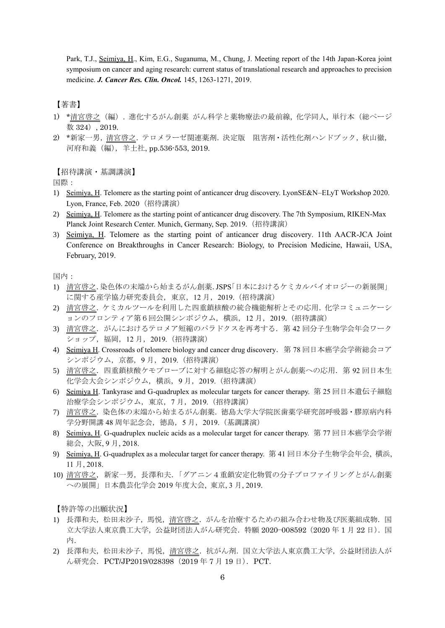Park, T.J., Seimiya, H., Kim, E.G., Suganuma, M., Chung, J. Meeting report of the 14th Japan-Korea joint symposium on cancer and aging research: current status of translational research and approaches to precision medicine. *J. Cancer Res. Clin. Oncol.* 145, 1263-1271, 2019.

## 【著書】

- 1) \*清宮啓之(編). 進化するがん創薬 がん科学と薬物療法の最前線, 化学同人, 単行本(総ページ 数 324), 2019.
- 2) \*新家一男,清宮啓之.テロメラーゼ関連薬剤.決定版 阻害剤・活性化剤ハンドブック,秋山徹, 河府和義(編),羊土社, pp.536-553, 2019.

【招待講演・基調講演】

国際:

- 1) Seimiya, H. Telomere as the starting point of anticancer drug discovery. LyonSE&N–ELyT Workshop 2020. Lyon, France, Feb. 2020(招待講演)
- 2) Seimiya, H. Telomere as the starting point of anticancer drug discovery. The 7th Symposium, RIKEN-Max Planck Joint Research Center. Munich, Germany, Sep. 2019.(招待講演)
- 3) Seimiya, H. Telomere as the starting point of anticancer drug discovery. 11th AACR-JCA Joint Conference on Breakthroughs in Cancer Research: Biology, to Precision Medicine, Hawaii, USA, February, 2019.

国内:

- 1) 清宮啓之.染色体の末端から始まるがん創薬.JSPS「日本におけるケミカルバイオロジーの新展開」 に関する産学協力研究委員会,東京,12 月,2019.(招待講演)
- 2) 清宮啓之.ケミカルツールを利用した四重鎖核酸の統合機能解析とその応用.化学コミュニケーシ ョンのフロンティア第6回公開シンポジウム,横浜,12 月,2019.(招待講演)
- 3) 清宮啓之.がんにおけるテロメア短縮のパラドクスを再考する.第 42 回分子生物学会年会ワーク ショップ,福岡,12 月,2019.(招待講演)
- 4) Seimiya H. Crossroads of telomere biology and cancer drug discovery.第 78 回日本癌学会学術総会コア シンポジウム,京都,9 月,2019.(招待講演)
- 5) 清宮啓之. 四重鎖核酸ケモプローブに対する細胞応答の解明とがん創薬への応用. 第92回日本生 化学会大会シンポジウム,横浜,9 月,2019.(招待講演)
- 6) Seimiya H. Tankyrase and G-quadruplex as molecular targets for cancer therapy. 第 25 回日本遺伝子細胞 治療学会シンポジウム,東京,7 月,2019.(招待講演)
- 7) 清宮啓之.染色体の末端から始まるがん創薬.徳島大学大学院医歯薬学研究部呼吸器・膠原病内科 学分野開講 48 周年記念会, 徳島, 5月, 2019. (基調講演)
- 8) Seimiya, H. G-quadruplex nucleic acids as a molecular target for cancer therapy. 第 77 回日本癌学会学術 総会, 大阪, 9 月, 2018.
- 9) Seimiya, H. G-quadruplex as a molecular target for cancer therapy. 第 41 回日本分子生物学会年会, 横浜, 11 月, 2018.
- 10) 清宮啓之,新家一男,長澤和夫.「グアニン4重鎖安定化物質の分子プロファイリングとがん創薬 への展開」日本農芸化学会 2019 年度大会, 東京, 3 月, 2019.

【特許等の出願状況】

- 1) 長澤和夫,松田未沙子,馬悦,清宮啓之.がんを治療するための組み合わせ物及び医薬組成物.国 立大学法人東京農工大学,公益財団法人がん研究会.特願 2020−008592(2020 年 1 月 22 日).国 内.
- 2) 長澤和夫,松田未沙子,馬悦,清宮啓之.抗がん剤.国立大学法人東京農工大学,公益財団法人が ん研究会. PCT/JP2019/028398 (2019年7月19日). PCT.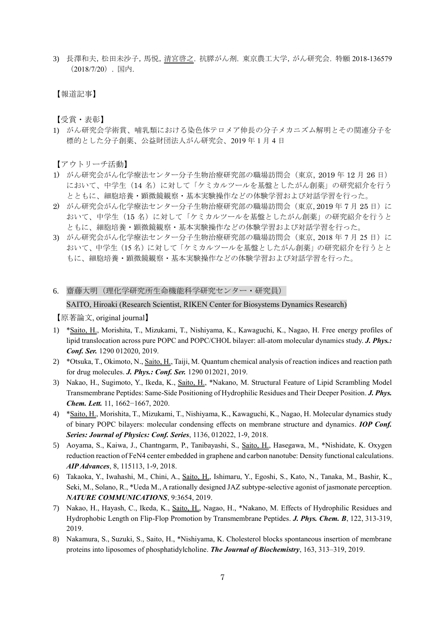3) 長澤和夫,松田未沙子,馬悦,清宮啓之. 抗膵がん剤. 東京農工大学,がん研究会. 特願 2018-136579 (2018/7/20). 国内.

【報道記事】

【受賞・表彰】

1) がん研究会学術賞、哺乳類における染色体テロメア伸長の分子メカニズム解明とその関連分子を 標的とした分子創薬、公益財団法人がん研究会、2019 年 1 月 4 日

【アウトリーチ活動】

- 1) がん研究会がん化学療法センター分子生物治療研究部の職場訪問会(東京, 2019 年 12 月 26 日) において、中学生(14名)に対して「ケミカルツールを基盤としたがん創薬」の研究紹介を行う とともに、細胞培養・顕微鏡観察・基本実験操作などの体験学習および対話学習を行った。
- 2) がん研究会がん化学療法センター分子生物治療研究部の職場訪問会(東京, 2019年7月25日)に おいて、中学生(15 名)に対して「ケミカルツールを基盤としたがん創薬」の研究紹介を行うと ともに、細胞培養・顕微鏡観察・基本実験操作などの体験学習および対話学習を行った。
- 3) がん研究会がん化学療法センター分子生物治療研究部の職場訪問会(東京, 2018年7月25日)に おいて、中学生(15 名)に対して「ケミカルツールを基盤としたがん創薬」の研究紹介を行うとと もに、細胞培養・顕微鏡観察・基本実験操作などの体験学習および対話学習を行った。
- 6. 齋藤大明(理化学研究所生命機能科学研究センター・研究員) SAITO, Hiroaki (Research Scientist, RIKEN Center for Biosystems Dynamics Research)

【原著論文, original journal】

- 1) \*Saito, H., Morishita, T., Mizukami, T., Nishiyama, K., Kawaguchi, K., Nagao, H. Free energy profiles of lipid translocation across pure POPC and POPC/CHOL bilayer: all-atom molecular dynamics study. *J. Phys.: Conf. Ser.* 1290 012020, 2019.
- 2) \*Otsuka, T., Okimoto, N., Saito, H., Taiji, M. Quantum chemical analysis of reaction indices and reaction path for drug molecules. *J. Phys.: Conf. Ser.* 1290 012021, 2019.
- 3) Nakao, H., Sugimoto, Y., Ikeda, K., Saito, H., \*Nakano, M. Structural Feature of Lipid Scrambling Model Transmembrane Peptides: Same-Side Positioning of Hydrophilic Residues and Their Deeper Position. *J. Phys. Chem. Lett.* 11, 1662−1667, 2020.
- 4) \*Saito, H., Morishita, T., Mizukami, T., Nishiyama, K., Kawaguchi, K., Nagao, H. Molecular dynamics study of binary POPC bilayers: molecular condensing effects on membrane structure and dynamics. *IOP Conf. Series: Journal of Physics: Conf. Series*, 1136, 012022, 1-9, 2018.
- 5) Aoyama, S., Kaiwa, J., Chantngarm, P., Tanibayashi, S., Saito, H., Hasegawa, M., \*Nishidate, K. Oxygen reduction reaction of FeN4 center embedded in graphene and carbon nanotube: Density functional calculations. *AIP Advances*, 8, 115113, 1-9, 2018.
- 6) Takaoka, Y., Iwahashi, M., Chini, A., Saito, H., Ishimaru, Y., Egoshi, S., Kato, N., Tanaka, M., Bashir, K., Seki, M., Solano, R., \*Ueda M., A rationally designed JAZ subtype-selective agonist of jasmonate perception. *NATURE COMMUNICATIONS*, 9:3654, 2019.
- 7) Nakao, H., Hayash, C., Ikeda, K., Saito, H., Nagao, H., \*Nakano, M. Effects of Hydrophilic Residues and Hydrophobic Length on Flip-Flop Promotion by Transmembrane Peptides. *J. Phys. Chem. B*, 122, 313-319, 2019.
- 8) Nakamura, S., Suzuki, S., Saito, H., \*Nishiyama, K. Cholesterol blocks spontaneous insertion of membrane proteins into liposomes of phosphatidylcholine. *The Journal of Biochemistry*, 163, 313–319, 2019.